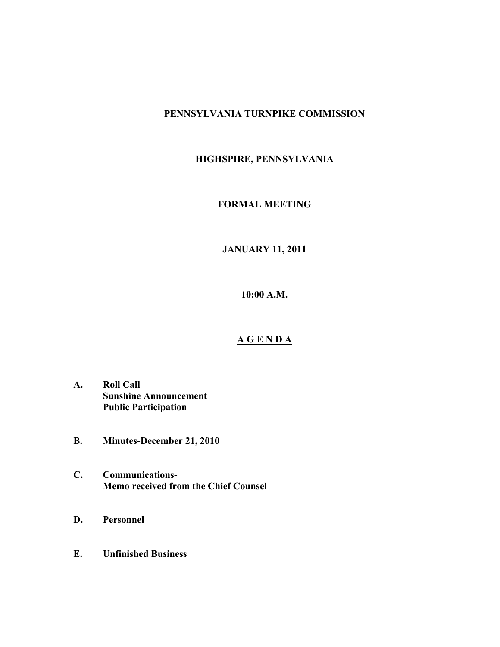## **PENNSYLVANIA TURNPIKE COMMISSION**

# **HIGHSPIRE, PENNSYLVANIA**

## **FORMAL MEETING**

# **JANUARY 11, 2011**

**10:00 A.M.**

#### **A G E N D A**

- **A. Roll Call Sunshine Announcement Public Participation**
- **B. Minutes-December 21, 2010**
- **C. Communications-Memo received from the Chief Counsel**
- **D. Personnel**
- **E. Unfinished Business**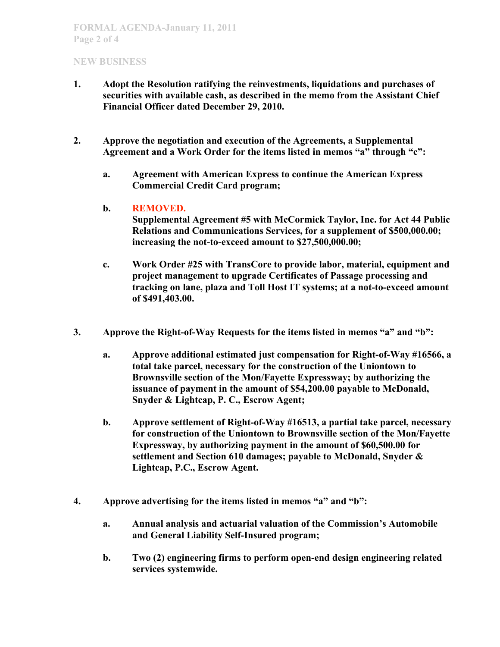### **NEW BUSINESS**

- **1. Adopt the Resolution ratifying the reinvestments, liquidations and purchases of securities with available cash, as described in the memo from the Assistant Chief Financial Officer dated December 29, 2010.**
- **2. Approve the negotiation and execution of the Agreements, a Supplemental Agreement and a Work Order for the items listed in memos "a" through "c":**
	- **a. Agreement with American Express to continue the American Express Commercial Credit Card program;**

### **b. REMOVED.**

**Supplemental Agreement #5 with McCormick Taylor, Inc. for Act 44 Public Relations and Communications Services, for a supplement of \$500,000.00; increasing the not-to-exceed amount to \$27,500,000.00;**

- **c. Work Order #25 with TransCore to provide labor, material, equipment and project management to upgrade Certificates of Passage processing and tracking on lane, plaza and Toll Host IT systems; at a not-to-exceed amount of \$491,403.00.**
- **3. Approve the Right-of-Way Requests for the items listed in memos "a" and "b":**
	- **a. Approve additional estimated just compensation for Right-of-Way #16566, a total take parcel, necessary for the construction of the Uniontown to Brownsville section of the Mon/Fayette Expressway; by authorizing the issuance of payment in the amount of \$54,200.00 payable to McDonald, Snyder & Lightcap, P. C., Escrow Agent;**
	- **b. Approve settlement of Right-of-Way #16513, a partial take parcel, necessary for construction of the Uniontown to Brownsville section of the Mon/Fayette Expressway, by authorizing payment in the amount of \$60,500.00 for settlement and Section 610 damages; payable to McDonald, Snyder & Lightcap, P.C., Escrow Agent.**
- **4. Approve advertising for the items listed in memos "a" and "b":**
	- **a. Annual analysis and actuarial valuation of the Commission's Automobile and General Liability Self-Insured program;**
	- **b. Two (2) engineering firms to perform open-end design engineering related services systemwide.**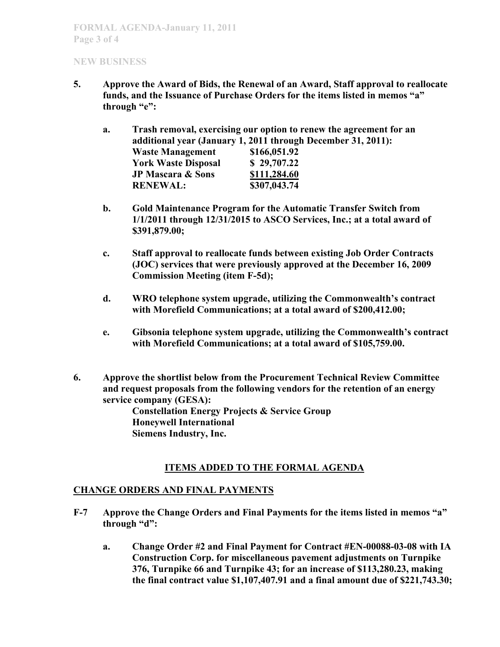#### **NEW BUSINESS**

- **5. Approve the Award of Bids, the Renewal of an Award, Staff approval to reallocate funds, and the Issuance of Purchase Orders for the items listed in memos "a" through "e":**
	- **a. Trash removal, exercising our option to renew the agreement for an additional year (January 1, 2011 through December 31, 2011): Waste Management \$166,051.92 York Waste Disposal \$ 29,707.22 JP Mascara & Sons \$111,284.60 RENEWAL: \$307,043.74**
	- **b. Gold Maintenance Program for the Automatic Transfer Switch from 1/1/2011 through 12/31/2015 to ASCO Services, Inc.; at a total award of \$391,879.00;**
	- **c. Staff approval to reallocate funds between existing Job Order Contracts (JOC) services that were previously approved at the December 16, 2009 Commission Meeting (item F-5d);**
	- **d. WRO telephone system upgrade, utilizing the Commonwealth's contract with Morefield Communications; at a total award of \$200,412.00;**
	- **e. Gibsonia telephone system upgrade, utilizing the Commonwealth's contract with Morefield Communications; at a total award of \$105,759.00.**
- **6. Approve the shortlist below from the Procurement Technical Review Committee and request proposals from the following vendors for the retention of an energy service company (GESA):**

**Constellation Energy Projects & Service Group Honeywell International Siemens Industry, Inc.**

## **ITEMS ADDED TO THE FORMAL AGENDA**

## **CHANGE ORDERS AND FINAL PAYMENTS**

- **F-7 Approve the Change Orders and Final Payments for the items listed in memos "a" through "d":**
	- **a. Change Order #2 and Final Payment for Contract #EN-00088-03-08 with IA Construction Corp. for miscellaneous pavement adjustments on Turnpike 376, Turnpike 66 and Turnpike 43; for an increase of \$113,280.23, making the final contract value \$1,107,407.91 and a final amount due of \$221,743.30;**